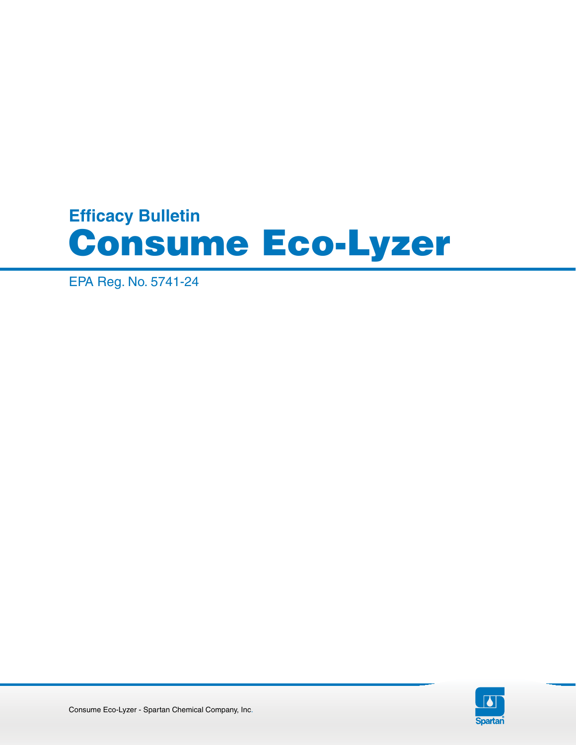# **Efficacy Bulletin** Consume Eco-Lyzer

EPA Reg. No. 5741-24

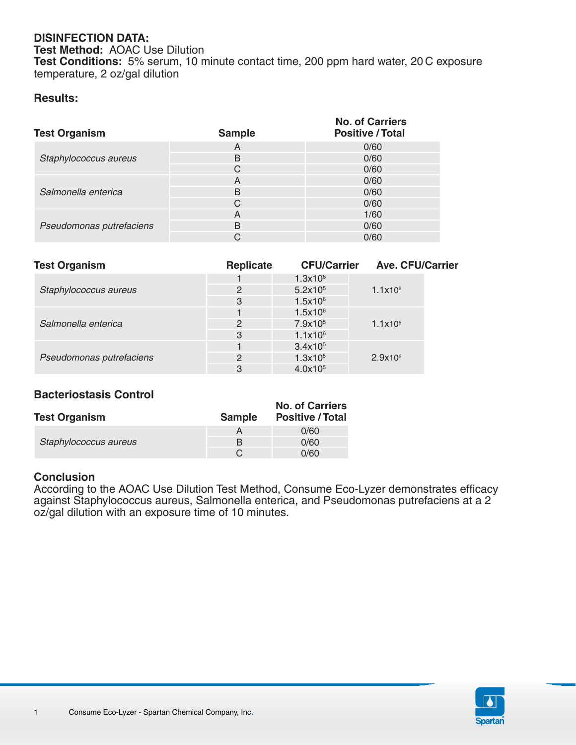## **DISINFECTION DATA:**

**Test Method:** AOAC Use Dilution **Test Conditions:** 5% serum, 10 minute contact time, 200 ppm hard water, 20 C exposure temperature, 2 oz/gal dilution

### **Results:**

| <b>Test Organism</b>     | <b>Sample</b> | <b>No. of Carriers</b><br><b>Positive / Total</b> |
|--------------------------|---------------|---------------------------------------------------|
| Staphylococcus aureus    | A             | 0/60                                              |
|                          | B             | 0/60                                              |
|                          | С             | 0/60                                              |
| Salmonella enterica      | A             | 0/60                                              |
|                          | B             | 0/60                                              |
|                          | C             | 0/60                                              |
| Pseudomonas putrefaciens | A             | 1/60                                              |
|                          | B             | 0/60                                              |
|                          | С             | 0/60                                              |

| <b>Test Organism</b>     | <b>Replicate</b> | <b>CFU/Carrier</b>  | <b>Ave. CFU/Carrier</b> |
|--------------------------|------------------|---------------------|-------------------------|
| Staphylococcus aureus    |                  | $1.3x10^6$          |                         |
|                          | 2                | 5.2x10 <sup>5</sup> | $1.1x10^{6}$            |
|                          | 3                | $1.5x10^6$          |                         |
|                          |                  | $1.5x10^6$          |                         |
| Salmonella enterica      | $\overline{2}$   | 7.9x10 <sup>5</sup> | $1.1x10^6$              |
|                          | 3                | 1.1x10 <sup>6</sup> |                         |
|                          |                  | 3.4x10 <sup>5</sup> |                         |
| Pseudomonas putrefaciens | 2                | 1.3x10 <sup>5</sup> | 2.9x10 <sup>5</sup>     |
|                          | 3                | 4.0x10 <sup>5</sup> |                         |

# **Bacteriostasis Control**

| <b>Test Organism</b>  | <b>Sample</b> | <b>No. of Carriers</b><br><b>Positive / Total</b> |
|-----------------------|---------------|---------------------------------------------------|
|                       |               | 0/60                                              |
| Staphylococcus aureus | в             | 0/60                                              |
|                       |               | 0/60                                              |

### **Conclusion**

According to the AOAC Use Dilution Test Method, Consume Eco-Lyzer demonstrates efficacy against Staphylococcus aureus, Salmonella enterica, and Pseudomonas putrefaciens at a 2 oz/gal dilution with an exposure time of 10 minutes.

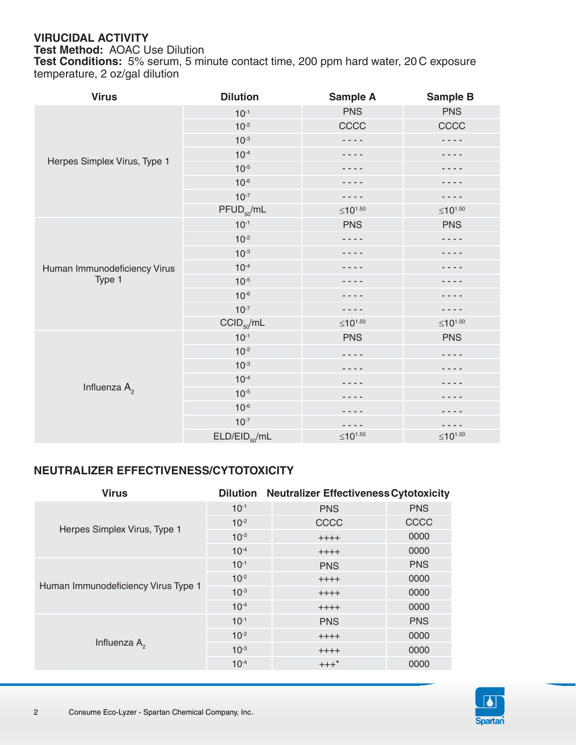# **VIRUCIDAL ACTIVITY**

**Test Method:** AOAC Use Dilution

**Test Conditions:** 5% serum, 5 minute contact time, 200 ppm hard water, 20 C exposure temperature, 2 oz/gal dilution

| <b>Virus</b>                 | <b>Dilution</b>           | <b>Sample A</b>  | <b>Sample B</b>     |  |
|------------------------------|---------------------------|------------------|---------------------|--|
| Herpes Simplex Virus, Type 1 | $10^{-1}$                 | <b>PNS</b>       | <b>PNS</b>          |  |
|                              | $10^{-2}$                 | CCCC             | CCCC                |  |
|                              | $10^{-3}$                 |                  |                     |  |
|                              | $10^{-4}$                 |                  |                     |  |
|                              | $10^{-5}$                 |                  |                     |  |
|                              | $10^{-6}$                 |                  |                     |  |
|                              | $10^{-7}$                 | $- - -$          |                     |  |
|                              | $PFUD_{50}/mL$            | $≤10^{1.50}$     | ≤10 <sup>1.50</sup> |  |
|                              | $10^{-1}$                 | <b>PNS</b>       | <b>PNS</b>          |  |
|                              | $10^{-2}$                 | .                | $- - -$             |  |
|                              | $10^{-3}$                 |                  |                     |  |
| Human Immunodeficiency Virus | $10^{-4}$                 |                  |                     |  |
| Type 1                       | $10^{-5}$                 |                  |                     |  |
|                              | $10^{-6}$                 |                  |                     |  |
|                              | $10^{-7}$                 | - - - -          | .                   |  |
|                              | $CCID_{50}/mL$            | $\leq 10^{1.50}$ | ≤10 <sup>1.50</sup> |  |
| Influenza $A_{2}$            | $10^{-1}$                 | <b>PNS</b>       | <b>PNS</b>          |  |
|                              | $10^{-2}$                 |                  |                     |  |
|                              | $10^{-3}$                 |                  |                     |  |
|                              | $10^{-4}$                 |                  |                     |  |
|                              | $10^{-5}$                 |                  |                     |  |
|                              | $10^{-6}$                 |                  |                     |  |
|                              | $10^{-7}$                 |                  |                     |  |
|                              | ELD/EID <sub>50</sub> /mL | $≤10^{1.50}$     | $≤10^{1.50}$        |  |

# **NEUTRALIZER EFFECTIVENESS/CYTOTOXICITY**

| <b>Virus</b>                        | <b>Dilution</b> | <b>Neutralizer Effectiveness Cytotoxicity</b> |            |
|-------------------------------------|-----------------|-----------------------------------------------|------------|
| Herpes Simplex Virus, Type 1        | $10^{-1}$       | <b>PNS</b>                                    | <b>PNS</b> |
|                                     | $10^{-2}$       | CCCC                                          | CCCC       |
|                                     | $10^{-3}$       | $++++$                                        | 0000       |
|                                     | $10^{-4}$       | $++++$                                        | 0000       |
| Human Immunodeficiency Virus Type 1 | $10^{-1}$       | <b>PNS</b>                                    | <b>PNS</b> |
|                                     | $10^{-2}$       | $++++$                                        | 0000       |
|                                     | $10^{-3}$       | $++++$                                        | 0000       |
|                                     | $10^{-4}$       | $++++$                                        | 0000       |
| Influenza $A_{2}$                   | $10^{-1}$       | <b>PNS</b>                                    | <b>PNS</b> |
|                                     | $10^{-2}$       | $++++$                                        | 0000       |
|                                     | $10^{-3}$       | $++++$                                        | 0000       |
|                                     | $10^{-4}$       | $+++$ *                                       | 0000       |